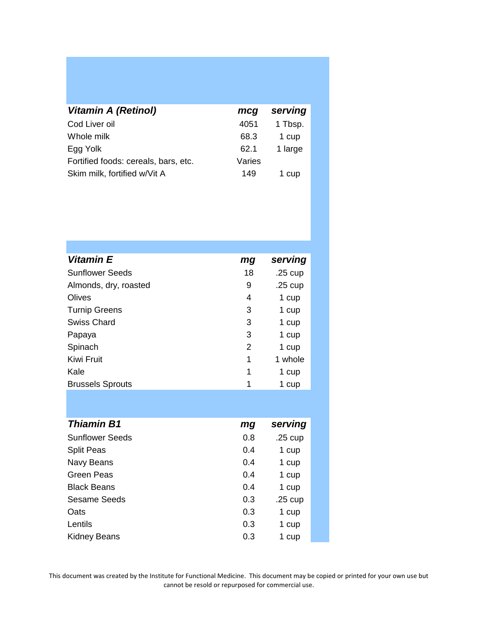| <b>Vitamin A (Retinol)</b>           | mcg    | serving |
|--------------------------------------|--------|---------|
| Cod Liver oil                        | 4051   | 1 Tbsp. |
| Whole milk                           | 68.3   | 1 cup   |
| Egg Yolk                             | 62.1   | 1 large |
| Fortified foods: cereals, bars, etc. | Varies |         |
| Skim milk, fortified w/Vit A         | 149    | 1 cup   |

| Vitamin E               | mg | serving           |
|-------------------------|----|-------------------|
| <b>Sunflower Seeds</b>  | 18 | $.25 \text{ cup}$ |
| Almonds, dry, roasted   | 9  | $.25$ cup         |
| Olives                  | 4  | 1 cup             |
| <b>Turnip Greens</b>    | 3  | 1 cup             |
| Swiss Chard             | 3  | 1 cup             |
| Papaya                  | 3  | 1 cup             |
| Spinach                 | 2  | 1 cup             |
| <b>Kiwi Fruit</b>       | 1  | 1 whole           |
| Kale                    | 1  | 1 cup             |
| <b>Brussels Sprouts</b> | 1  | 1 cup             |

| <b>Thiamin B1</b>      | mg  | serving   |
|------------------------|-----|-----------|
| <b>Sunflower Seeds</b> | 0.8 | $.25$ cup |
| <b>Split Peas</b>      | 0.4 | 1 cup     |
| Navy Beans             | 0.4 | 1 cup     |
| Green Peas             | 0.4 | 1 cup     |
| <b>Black Beans</b>     | 0.4 | 1 cup     |
| Sesame Seeds           | 0.3 | $.25$ cup |
| Oats                   | 0.3 | 1 cup     |
| Lentils                | 0.3 | 1 cup     |
| <b>Kidney Beans</b>    | 0.3 | 1 cup     |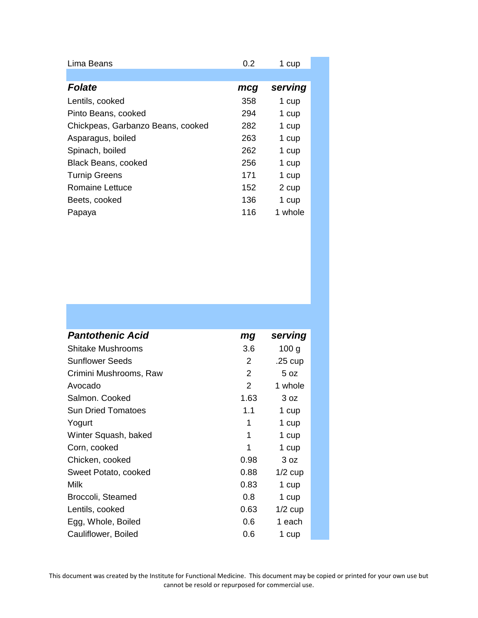| Lima Beans                        | 0.2 | 1 cup   |  |
|-----------------------------------|-----|---------|--|
|                                   |     |         |  |
| <b>Folate</b>                     | mcg | serving |  |
| Lentils, cooked                   | 358 | 1 cup   |  |
| Pinto Beans, cooked               | 294 | 1 cup   |  |
| Chickpeas, Garbanzo Beans, cooked | 282 | 1 cup   |  |
| Asparagus, boiled                 | 263 | 1 cup   |  |
| Spinach, boiled                   | 262 | 1 cup   |  |
| <b>Black Beans, cooked</b>        | 256 | 1 cup   |  |
| <b>Turnip Greens</b>              | 171 | 1 cup   |  |
| Romaine Lettuce                   | 152 | 2 cup   |  |
| Beets, cooked                     | 136 | 1 cup   |  |
| Papaya                            | 116 | 1 whole |  |

| <b>Pantothenic Acid</b> | mg   | serving           |  |
|-------------------------|------|-------------------|--|
| Shitake Mushrooms       | 3.6  | 100 <sub>g</sub>  |  |
| Sunflower Seeds         | 2    | $.25 \text{ cup}$ |  |
| Crimini Mushrooms, Raw  | 2    | 5 oz              |  |
| Avocado                 | 2    | 1 whole           |  |
| Salmon. Cooked          | 1.63 | 3 oz              |  |
| Sun Dried Tomatoes      | 1.1  | 1 cup             |  |
| Yogurt                  | 1    | 1 cup             |  |
| Winter Squash, baked    | 1    | 1 cup             |  |
| Corn, cooked            | 1    | 1 cup             |  |
| Chicken, cooked         | 0.98 | 3 oz              |  |
| Sweet Potato, cooked    | 0.88 | $1/2$ cup         |  |
| Milk                    | 0.83 | 1 cup             |  |
| Broccoli, Steamed       | 0.8  | 1 cup             |  |
| Lentils, cooked         | 0.63 | $1/2$ cup         |  |
| Egg, Whole, Boiled      | 0.6  | 1 each            |  |
| Cauliflower, Boiled     | 0.6  | 1 cup             |  |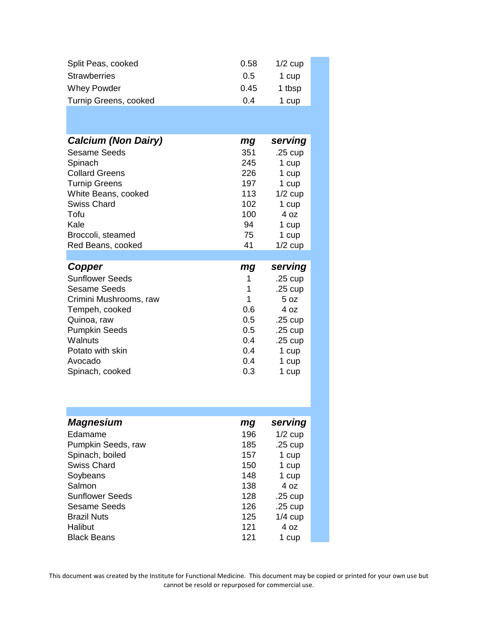| 0.58 | $1/2$ cup |  |
|------|-----------|--|
| 0.5  | 1 cup     |  |
| 0.45 | 1 tbsp    |  |
| 0.4  | 1 cup     |  |
|      |           |  |

| <b>Calcium (Non Dairy)</b> | mg            | serving           |
|----------------------------|---------------|-------------------|
| <b>Sesame Seeds</b>        | 351           | $.25 \text{ cup}$ |
| Spinach                    | 245           | 1 cup             |
| <b>Collard Greens</b>      | 226           | 1 cup             |
| <b>Turnip Greens</b>       | 197           | 1 cup             |
| White Beans, cooked        | 113           | $1/2$ cup         |
| <b>Swiss Chard</b>         | 102           | 1 cup             |
| Tofu                       | 100           | 407               |
| Kale                       | 94            | 1 cup             |
| Broccoli, steamed          | 75            | 1 cup             |
| Red Beans, cooked          | 41            | $1/2$ cup         |
|                            |               |                   |
|                            |               |                   |
| Copper                     | mg            | serving           |
| <b>Sunflower Seeds</b>     | 1             | $.25 \text{ cup}$ |
| Sesame Seeds               | 1             | $.25 \text{ cup}$ |
| Crimini Mushrooms, raw     | 1             | 5 oz              |
| Tempeh, cooked             | 0.6           | 4 oz              |
| Quinoa, raw                | 0.5           | $.25 \text{ cup}$ |
| <b>Pumpkin Seeds</b>       | 0.5           | $.25 \text{ cup}$ |
| Walnuts                    | $0.4^{\circ}$ | .25 cup           |
| Potato with skin           | 0.4           | 1 cup             |
| Avocado                    | 0.4           | 1 cup             |
| Spinach, cooked            | 0.3           | 1 cup             |

| <b>Magnesium</b>       | mg  | serving           |
|------------------------|-----|-------------------|
| Edamame                | 196 | $1/2$ cup         |
| Pumpkin Seeds, raw     | 185 | $.25$ cup         |
| Spinach, boiled        | 157 | 1 cup             |
| <b>Swiss Chard</b>     | 150 | 1 cup             |
| Soybeans               | 148 | 1 cup             |
| Salmon                 | 138 | 4 oz              |
| <b>Sunflower Seeds</b> | 128 | $.25 \text{ cup}$ |
| Sesame Seeds           | 126 | $.25 \text{ cup}$ |
| <b>Brazil Nuts</b>     | 125 | $1/4$ cup         |
| Halibut                | 121 | 4 oz              |
| <b>Black Beans</b>     | 121 | 1 cup             |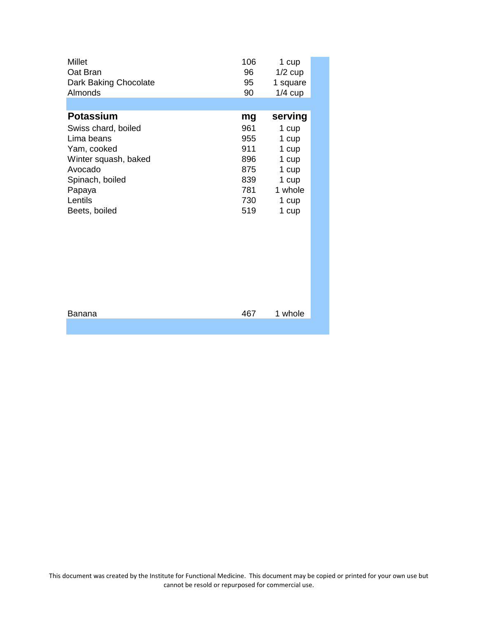| <b>Millet</b><br>Oat Bran<br>Dark Baking Chocolate<br>Almonds | 106<br>96<br>95<br>90 | 1 cup<br>$1/2$ cup<br>1 square<br>$1/4$ cup |  |
|---------------------------------------------------------------|-----------------------|---------------------------------------------|--|
|                                                               |                       |                                             |  |
| <b>Potassium</b>                                              | mg                    | serving                                     |  |
| Swiss chard, boiled                                           | 961                   | 1 cup                                       |  |
| Lima beans                                                    | 955                   | 1 cup                                       |  |
| Yam, cooked                                                   | 911                   | 1 cup                                       |  |
| Winter squash, baked                                          | 896                   | 1 cup                                       |  |
| Avocado                                                       | 875                   | 1 cup                                       |  |
| Spinach, boiled                                               | 839                   | 1 cup                                       |  |
| Papaya                                                        | 781                   | 1 whole                                     |  |
| Lentils                                                       | 730                   | 1 cup                                       |  |
| Beets, boiled                                                 | 519                   | 1 cup                                       |  |
|                                                               |                       |                                             |  |
|                                                               |                       |                                             |  |
|                                                               |                       |                                             |  |
|                                                               |                       |                                             |  |
|                                                               |                       |                                             |  |
|                                                               |                       |                                             |  |
| Banana                                                        | 467                   | 1 whole                                     |  |
|                                                               |                       |                                             |  |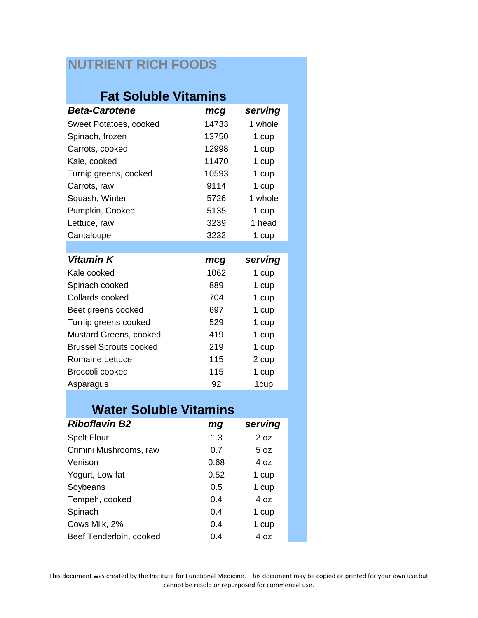## **NUTRIENT RICH FOODS**

## **Fat Soluble Vitamins**

| <b>Beta-Carotene</b>          | mcg   | serving |
|-------------------------------|-------|---------|
| Sweet Potatoes, cooked        | 14733 | 1 whole |
| Spinach, frozen               | 13750 | 1 cup   |
| Carrots, cooked               | 12998 | 1 cup   |
| Kale, cooked                  | 11470 | 1 cup   |
| Turnip greens, cooked         | 10593 | 1 cup   |
| Carrots, raw                  | 9114  | 1 cup   |
| Squash, Winter                | 5726  | 1 whole |
| Pumpkin, Cooked               | 5135  | 1 cup   |
| Lettuce, raw                  | 3239  | 1 head  |
| Cantaloupe                    | 3232  | 1 cup   |
|                               |       |         |
| Vitamin K                     | mcg   | serving |
| Kale cooked                   | 1062  | 1 cup   |
| Spinach cooked                | 889   | 1 cup   |
| Collards cooked               | 704   | 1 cup   |
| Beet greens cooked            | 697   | 1 cup   |
| Turnip greens cooked          | 529   | 1 cup   |
| Mustard Greens, cooked        | 419   | 1 cup   |
| <b>Brussel Sprouts cooked</b> | 219   | 1 cup   |
| <b>Romaine Lettuce</b>        | 115   | 2 cup   |
| Broccoli cooked               | 115   | 1 cup   |
| Asparagus                     | 92    | 1cup    |

## **Water Soluble Vitamins**

| <b>Riboflavin B2</b>    | mg   | serving |
|-------------------------|------|---------|
| <b>Spelt Flour</b>      | 1.3  | 2 oz    |
| Crimini Mushrooms, raw  | 0.7  | 5 oz    |
| Venison                 | 0.68 | 4 oz    |
| Yogurt, Low fat         | 0.52 | 1 cup   |
| Soybeans                | 0.5  | 1 cup   |
| Tempeh, cooked          | 0.4  | 4 oz    |
| Spinach                 | 0.4  | 1 cup   |
| Cows Milk, 2%           | 0.4  | 1 cup   |
| Beef Tenderloin, cooked | 0.4  | 4 oz    |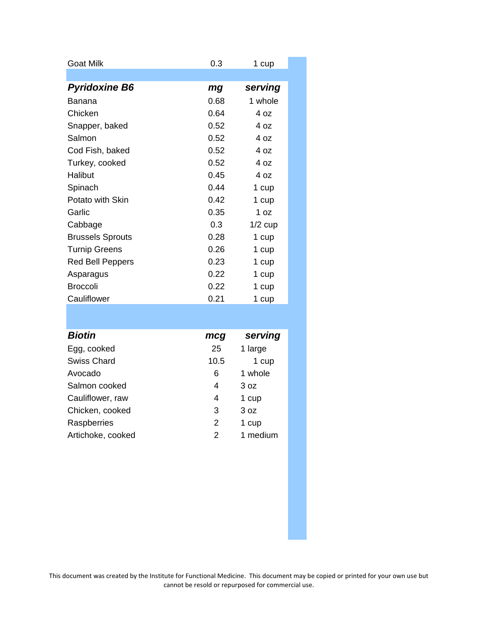| Goat Milk               | 0.3  | 1 cup     |
|-------------------------|------|-----------|
|                         |      |           |
| <b>Pyridoxine B6</b>    | mg   | serving   |
| Banana                  | 0.68 | 1 whole   |
| Chicken                 | 0.64 | 4 oz      |
| Snapper, baked          | 0.52 | 4 oz      |
| Salmon                  | 0.52 | 4 oz      |
| Cod Fish, baked         | 0.52 | 4 oz      |
| Turkey, cooked          | 0.52 | 4 oz      |
| Halibut                 | 0.45 | 4 oz      |
| Spinach                 | 0.44 | 1 cup     |
| Potato with Skin        | 0.42 | 1 cup     |
| Garlic                  | 0.35 | 1 $oz$    |
| Cabbage                 | 0.3  | $1/2$ cup |
| <b>Brussels Sprouts</b> | 0.28 | 1 cup     |
| <b>Turnip Greens</b>    | 0.26 | 1 cup     |
| Red Bell Peppers        | 0.23 | 1 cup     |
| Asparagus               | 0.22 | 1 cup     |
| <b>Broccoli</b>         | 0.22 | 1 cup     |
| Cauliflower             | 0.21 | 1 cup     |
|                         |      |           |

| <b>Biotin</b>      | mcg           | serving  |
|--------------------|---------------|----------|
| Egg, cooked        | 25            | 1 large  |
| <b>Swiss Chard</b> | 10.5          | 1 cup    |
| Avocado            | 6             | 1 whole  |
| Salmon cooked      | 4             | 3 oz     |
| Cauliflower, raw   | 4             | 1 cup    |
| Chicken, cooked    | 3             | 3 oz     |
| Raspberries        | $\mathcal{P}$ | 1 cup    |
| Artichoke, cooked  | 2             | 1 medium |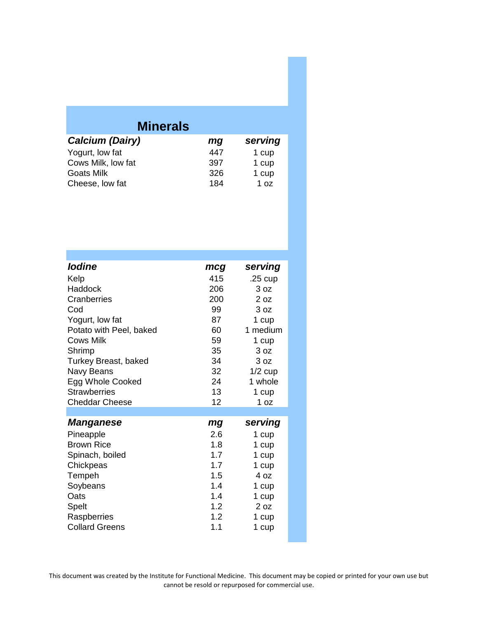| <b>Minerals</b>    |     |         |  |
|--------------------|-----|---------|--|
| Calcium (Dairy)    | mg  | serving |  |
| Yogurt, low fat    | 447 | 1 cup   |  |
| Cows Milk, low fat | 397 | 1 cup   |  |
| <b>Goats Milk</b>  | 326 | 1 cup   |  |
| Cheese, low fat    | 184 | 1 oz    |  |

| <b>lodine</b>           | mcg | serving         |
|-------------------------|-----|-----------------|
| Kelp                    | 415 |                 |
|                         |     | .25 cup         |
| Haddock                 | 206 | 3 <sub>oz</sub> |
| Cranberries             | 200 | 20z             |
| Cod                     | 99  | 3 oz            |
| Yogurt, low fat         | 87  | 1 cup           |
| Potato with Peel, baked | 60  | 1 medium        |
| <b>Cows Milk</b>        | 59  | 1 cup           |
| Shrimp                  | 35  | 3 <sub>oz</sub> |
| Turkey Breast, baked    | 34  | 3 oz            |
| Navy Beans              | 32  | $1/2$ cup       |
| Egg Whole Cooked        | 24  | 1 whole         |
| <b>Strawberries</b>     | 13  | 1 cup           |
| <b>Cheddar Cheese</b>   | 12  | 1 oz            |
|                         |     |                 |
| <b>Manganese</b>        | mg  | serving         |
| Pineapple               | 2.6 | 1 cup           |
| <b>Brown Rice</b>       | 1.8 | 1 cup           |
| Spinach, boiled         | 1.7 | 1 cup           |
| Chickpeas               | 1.7 | 1 cup           |
| Tempeh                  | 1.5 | 4 oz            |
| Soybeans                | 1.4 | 1 cup           |
| Oats                    | 1.4 | 1 cup           |
| Spelt                   | 1.2 | 2 oz            |
| Raspberries             | 1.2 | 1 cup           |
| <b>Collard Greens</b>   | 1.1 | 1 cup           |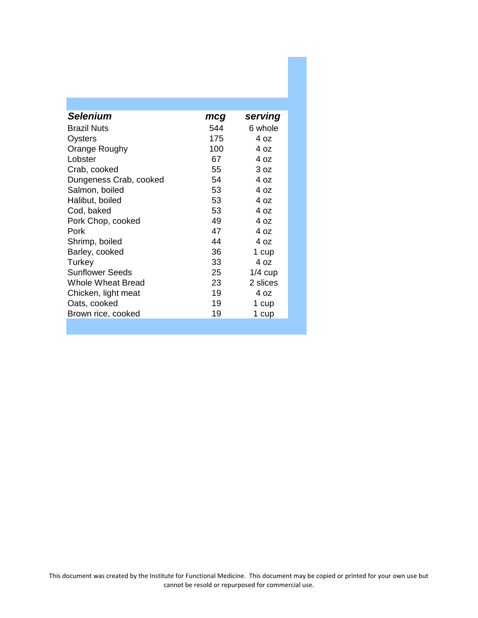| <b>Selenium</b>        | mcg | serving   |
|------------------------|-----|-----------|
| <b>Brazil Nuts</b>     | 544 | 6 whole   |
| Oysters                | 175 | 4 oz      |
| Orange Roughy          | 100 | 4 oz      |
| Lobster                | 67  | 4 oz      |
| Crab, cooked           | 55  | 3 oz      |
| Dungeness Crab, cooked | 54  | 40z       |
| Salmon, boiled         | 53  | 4 oz      |
| Halibut, boiled        | 53  | 4 oz      |
| Cod, baked             | 53  | 4 oz      |
| Pork Chop, cooked      | 49  | 4 oz      |
| Pork                   | 47  | 4 oz      |
| Shrimp, boiled         | 44  | 4 oz      |
| Barley, cooked         | 36  | 1 cup     |
| Turkey                 | 33  | 4 oz      |
| <b>Sunflower Seeds</b> | 25  | $1/4$ cup |
| Whole Wheat Bread      | 23  | 2 slices  |
| Chicken, light meat    | 19  | 4 oz      |
| Oats, cooked           | 19  | 1 cup     |
| Brown rice, cooked     | 19  | 1 cup     |
|                        |     |           |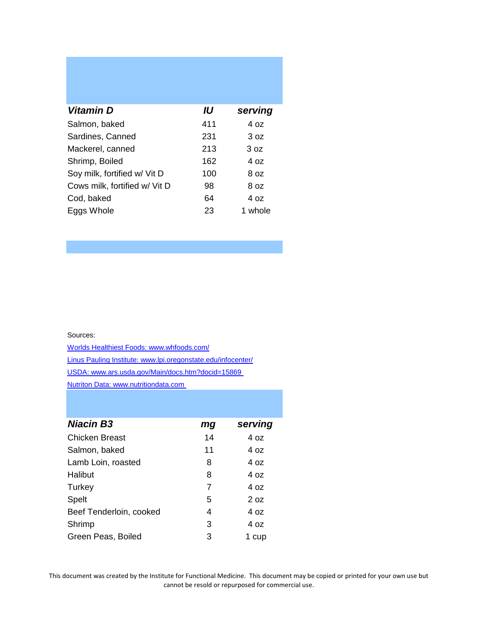| Vitamin D                     | IU  | serving |
|-------------------------------|-----|---------|
| Salmon, baked                 | 411 | 4 oz    |
| Sardines, Canned              | 231 | 3 oz    |
| Mackerel, canned              | 213 | 3 oz    |
| Shrimp, Boiled                | 162 | 4 oz    |
| Soy milk, fortified w/ Vit D  | 100 | 8 oz    |
| Cows milk, fortified w/ Vit D | 98  | 8 oz    |
| Cod, baked                    | 64  | 4 oz    |
| Eggs Whole                    | 23  | 1 whole |

Sources:

Worlds Healthiest Foods: www.whfoods.com/ Linus Pauling Institute: www.lpi.oregonstate.edu/infocenter/ USDA: www.ars.usda.gov/Main/docs.htm?docid=15869 Nutriton Data: www.nutritiondata.com

| <b>Niacin B3</b>        | mg | serving |
|-------------------------|----|---------|
| <b>Chicken Breast</b>   | 14 | 4 oz    |
| Salmon, baked           | 11 | 4 oz    |
| Lamb Loin, roasted      | 8  | 4 oz    |
| Halibut                 | 8  | 4 oz    |
| Turkey                  | 7  | 4 oz    |
| Spelt                   | 5  | 20z     |
| Beef Tenderloin, cooked | 4  | 4 oz    |
| Shrimp                  | 3  | 4 oz    |
| Green Peas, Boiled      | 3  | 1 cup   |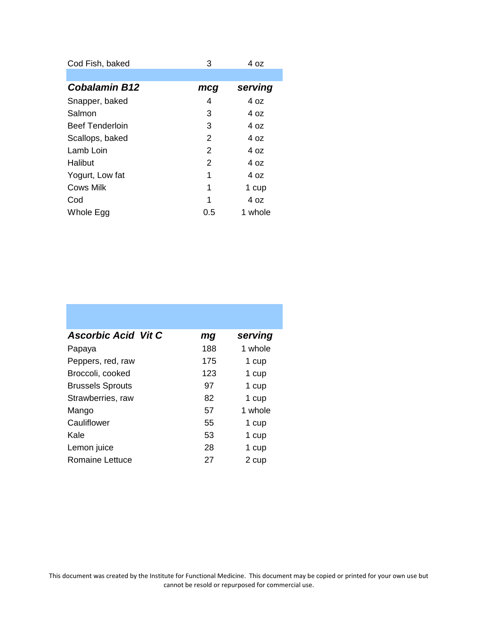| Cod Fish, baked        | 3   | 4 oz    |
|------------------------|-----|---------|
|                        |     |         |
| <b>Cobalamin B12</b>   | mcg | serving |
| Snapper, baked         | 4   | 4 oz    |
| Salmon                 | 3   | 4 oz    |
| <b>Beef Tenderloin</b> | 3   | 4 oz    |
| Scallops, baked        | 2   | 4 oz    |
| Lamb Loin              | 2   | 4 oz    |
| Halibut                | 2   | 4 oz    |
| Yogurt, Low fat        | 1   | 4 oz    |
| <b>Cows Milk</b>       | 1   | 1 cup   |
| Cod                    | 1   | 4 oz    |
| Whole Egg              | 0.5 | 1 whole |

| <b>Ascorbic Acid Vit C</b> | mg  | serving |
|----------------------------|-----|---------|
| Papaya                     | 188 | 1 whole |
| Peppers, red, raw          | 175 | 1 cup   |
| Broccoli, cooked           | 123 | 1 cup   |
| <b>Brussels Sprouts</b>    | 97  | 1 cup   |
| Strawberries, raw          | 82  | 1 cup   |
| Mango                      | 57  | 1 whole |
| Cauliflower                | 55  | 1 cup   |
| Kale                       | 53  | 1 cup   |
| Lemon juice                | 28  | 1 cup   |
| Romaine Lettuce            | 27  | 2 cup   |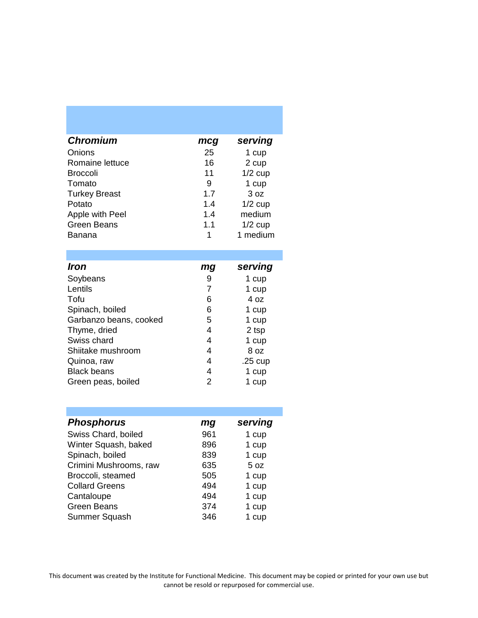| <b>Chromium</b>      | mcg | serving   |
|----------------------|-----|-----------|
| Onions               | 25  | 1 cup     |
| Romaine lettuce      | 16  | 2 cup     |
| <b>Broccoli</b>      | 11  | $1/2$ cup |
| Tomato               | 9   | 1 cup     |
| <b>Turkey Breast</b> | 1.7 | 3 oz      |
| Potato               | 1.4 | $1/2$ cup |
| Apple with Peel      | 1.4 | medium    |
| <b>Green Beans</b>   | 1.1 | $1/2$ cup |
| Banana               | 1   | 1 medium  |

| <b>Iron</b>            | mg | serving           |
|------------------------|----|-------------------|
| Soybeans               | 9  | 1 cup             |
| Lentils                | 7  | 1 cup             |
| Tofu                   | 6  | 4 oz              |
| Spinach, boiled        | 6  | 1 cup             |
| Garbanzo beans, cooked | 5  | 1 cup             |
| Thyme, dried           | 4  | 2 tsp             |
| Swiss chard            | 4  | 1 cup             |
| Shiitake mushroom      | 4  | 8 oz              |
| Quinoa, raw            | 4  | $.25 \text{ cup}$ |
| <b>Black beans</b>     | 4  | 1 cup             |
| Green peas, boiled     | 2  | cup               |

| <b>Phosphorus</b>      | mg  | serving |
|------------------------|-----|---------|
| Swiss Chard, boiled    | 961 | 1 cup   |
| Winter Squash, baked   | 896 | 1 cup   |
| Spinach, boiled        | 839 | 1 cup   |
| Crimini Mushrooms, raw | 635 | 5 oz    |
| Broccoli, steamed      | 505 | 1 cup   |
| <b>Collard Greens</b>  | 494 | 1 cup   |
| Cantaloupe             | 494 | 1 cup   |
| <b>Green Beans</b>     | 374 | 1 cup   |
| <b>Summer Squash</b>   | 346 | 1 cup   |